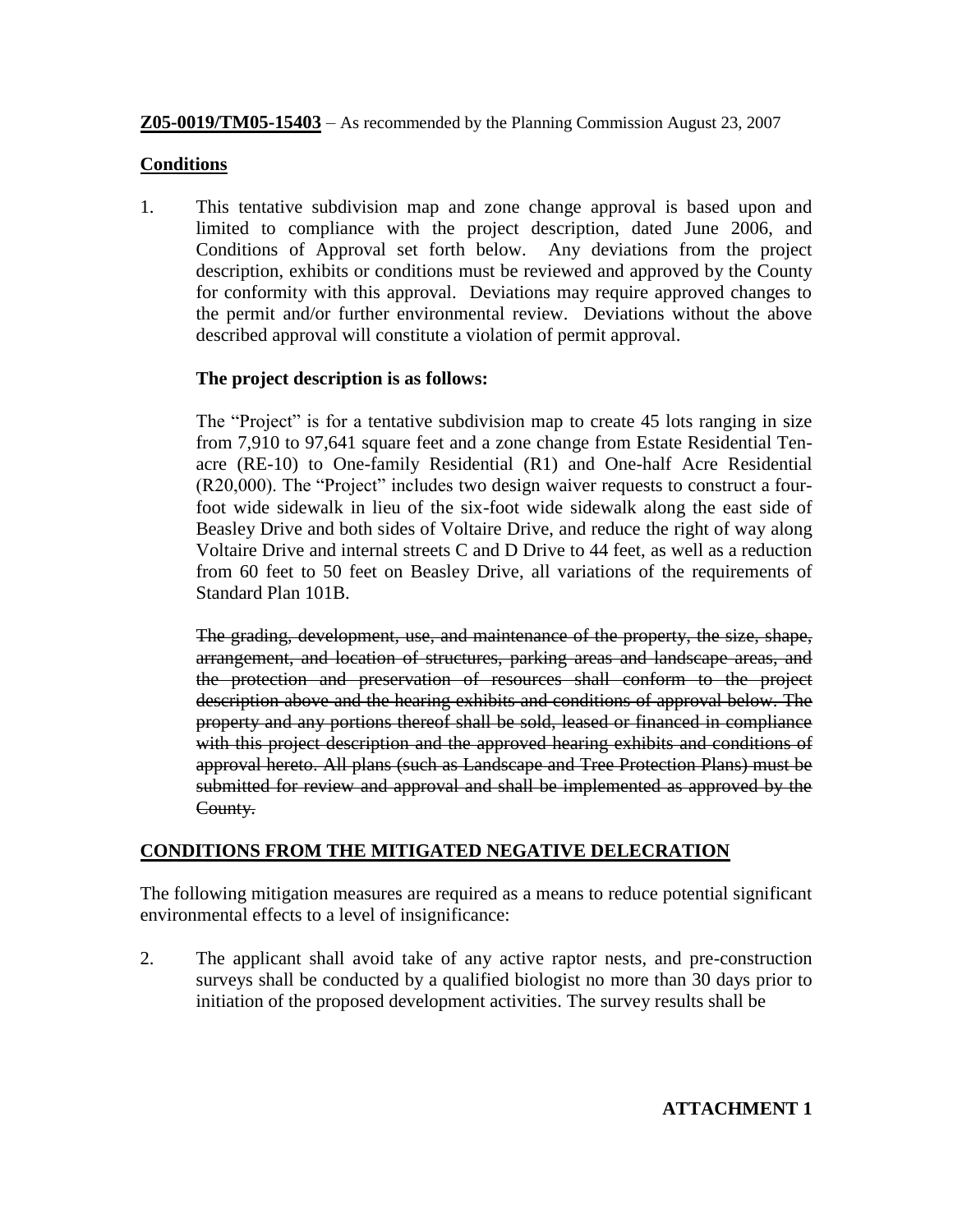**Z05-0019/TM05-15403** – As recommended by the Planning Commission August 23, 2007

## **Conditions**

1. This tentative subdivision map and zone change approval is based upon and limited to compliance with the project description, dated June 2006, and Conditions of Approval set forth below. Any deviations from the project description, exhibits or conditions must be reviewed and approved by the County for conformity with this approval. Deviations may require approved changes to the permit and/or further environmental review. Deviations without the above described approval will constitute a violation of permit approval.

## **The project description is as follows:**

The "Project" is for a tentative subdivision map to create 45 lots ranging in size from 7,910 to 97,641 square feet and a zone change from Estate Residential Tenacre (RE-10) to One-family Residential (R1) and One-half Acre Residential (R20,000). The "Project" includes two design waiver requests to construct a fourfoot wide sidewalk in lieu of the six-foot wide sidewalk along the east side of Beasley Drive and both sides of Voltaire Drive, and reduce the right of way along Voltaire Drive and internal streets C and D Drive to 44 feet, as well as a reduction from 60 feet to 50 feet on Beasley Drive, all variations of the requirements of Standard Plan 101B.

The grading, development, use, and maintenance of the property, the size, shape, arrangement, and location of structures, parking areas and landscape areas, and the protection and preservation of resources shall conform to the project description above and the hearing exhibits and conditions of approval below. The property and any portions thereof shall be sold, leased or financed in compliance with this project description and the approved hearing exhibits and conditions of approval hereto. All plans (such as Landscape and Tree Protection Plans) must be submitted for review and approval and shall be implemented as approved by the County.

## **CONDITIONS FROM THE MITIGATED NEGATIVE DELECRATION**

The following mitigation measures are required as a means to reduce potential significant environmental effects to a level of insignificance:

2. The applicant shall avoid take of any active raptor nests, and pre-construction surveys shall be conducted by a qualified biologist no more than 30 days prior to initiation of the proposed development activities. The survey results shall be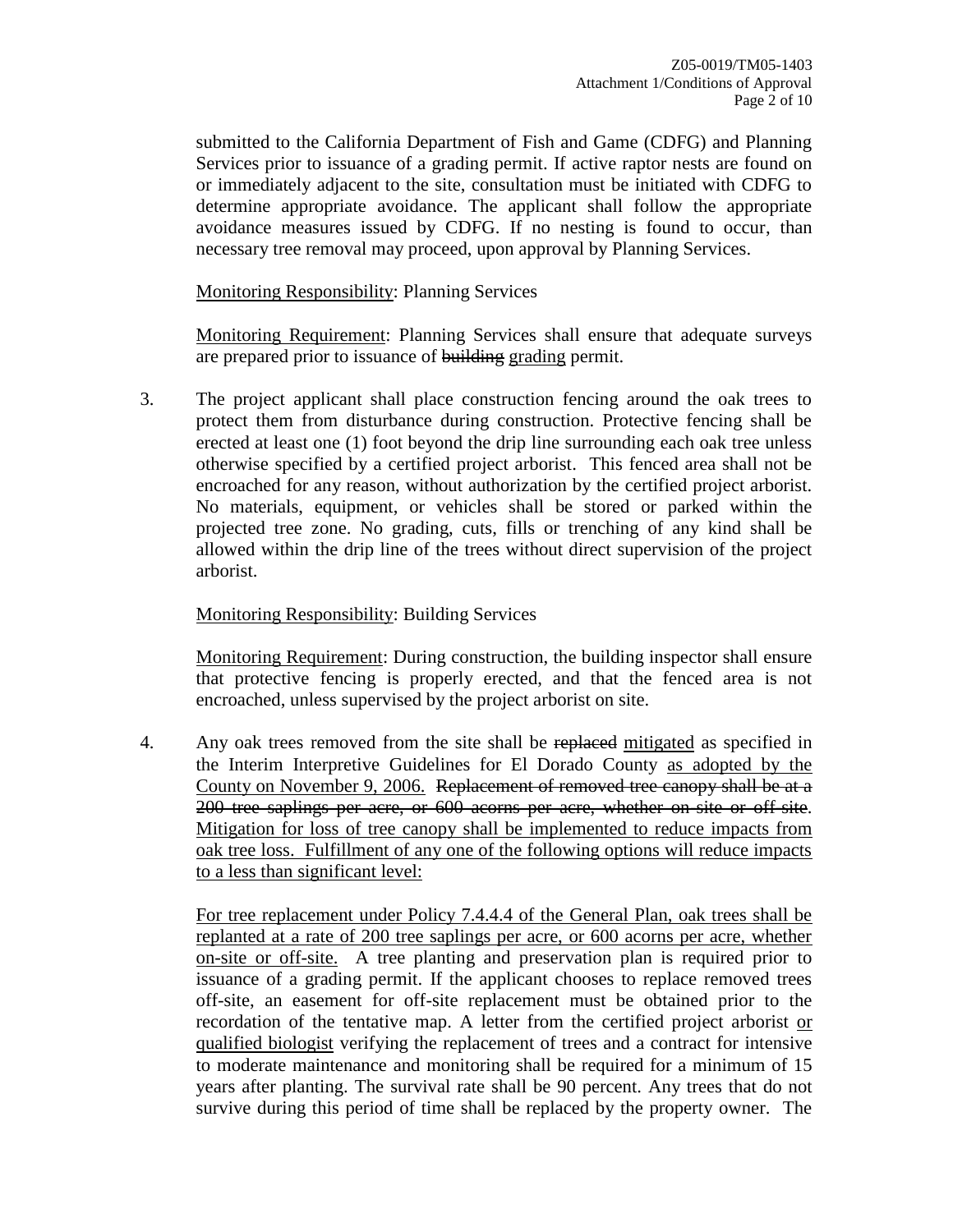submitted to the California Department of Fish and Game (CDFG) and Planning Services prior to issuance of a grading permit. If active raptor nests are found on or immediately adjacent to the site, consultation must be initiated with CDFG to determine appropriate avoidance. The applicant shall follow the appropriate avoidance measures issued by CDFG. If no nesting is found to occur, than necessary tree removal may proceed, upon approval by Planning Services.

Monitoring Responsibility: Planning Services

Monitoring Requirement: Planning Services shall ensure that adequate surveys are prepared prior to issuance of building grading permit.

3. The project applicant shall place construction fencing around the oak trees to protect them from disturbance during construction. Protective fencing shall be erected at least one (1) foot beyond the drip line surrounding each oak tree unless otherwise specified by a certified project arborist. This fenced area shall not be encroached for any reason, without authorization by the certified project arborist. No materials, equipment, or vehicles shall be stored or parked within the projected tree zone. No grading, cuts, fills or trenching of any kind shall be allowed within the drip line of the trees without direct supervision of the project arborist.

### Monitoring Responsibility: Building Services

Monitoring Requirement: During construction, the building inspector shall ensure that protective fencing is properly erected, and that the fenced area is not encroached, unless supervised by the project arborist on site.

4. Any oak trees removed from the site shall be replaced mitigated as specified in the Interim Interpretive Guidelines for El Dorado County as adopted by the County on November 9, 2006. Replacement of removed tree canopy shall be at a 200 tree saplings per acre, or 600 acorns per acre, whether on-site or off-site. Mitigation for loss of tree canopy shall be implemented to reduce impacts from oak tree loss. Fulfillment of any one of the following options will reduce impacts to a less than significant level:

For tree replacement under Policy 7.4.4.4 of the General Plan, oak trees shall be replanted at a rate of 200 tree saplings per acre, or 600 acorns per acre, whether on-site or off-site. A tree planting and preservation plan is required prior to issuance of a grading permit. If the applicant chooses to replace removed trees off-site, an easement for off-site replacement must be obtained prior to the recordation of the tentative map. A letter from the certified project arborist or qualified biologist verifying the replacement of trees and a contract for intensive to moderate maintenance and monitoring shall be required for a minimum of 15 years after planting. The survival rate shall be 90 percent. Any trees that do not survive during this period of time shall be replaced by the property owner. The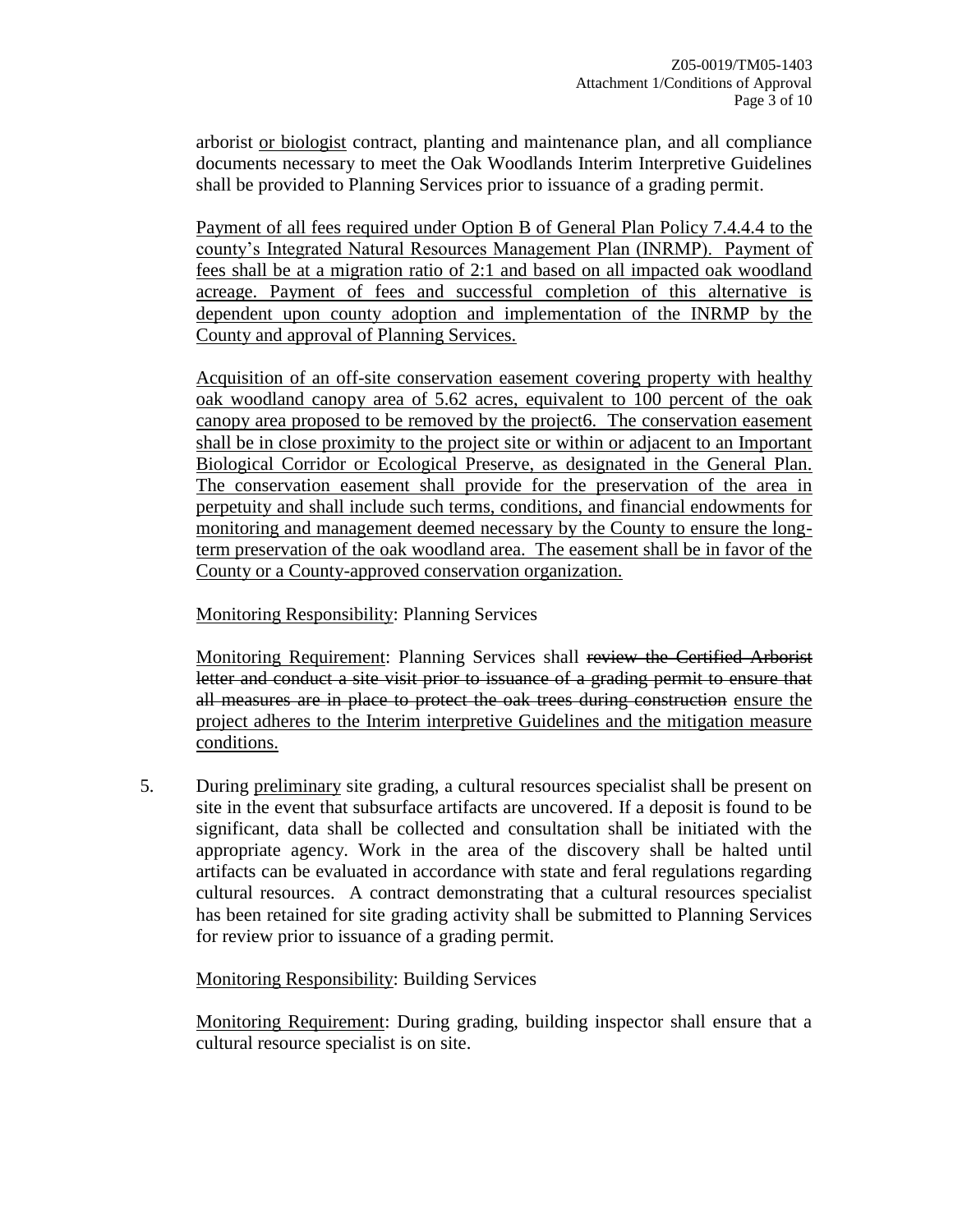arborist or biologist contract, planting and maintenance plan, and all compliance documents necessary to meet the Oak Woodlands Interim Interpretive Guidelines shall be provided to Planning Services prior to issuance of a grading permit.

Payment of all fees required under Option B of General Plan Policy 7.4.4.4 to the county's Integrated Natural Resources Management Plan (INRMP). Payment of fees shall be at a migration ratio of 2:1 and based on all impacted oak woodland acreage. Payment of fees and successful completion of this alternative is dependent upon county adoption and implementation of the INRMP by the County and approval of Planning Services.

Acquisition of an off-site conservation easement covering property with healthy oak woodland canopy area of 5.62 acres, equivalent to 100 percent of the oak canopy area proposed to be removed by the project6. The conservation easement shall be in close proximity to the project site or within or adjacent to an Important Biological Corridor or Ecological Preserve, as designated in the General Plan. The conservation easement shall provide for the preservation of the area in perpetuity and shall include such terms, conditions, and financial endowments for monitoring and management deemed necessary by the County to ensure the longterm preservation of the oak woodland area. The easement shall be in favor of the County or a County-approved conservation organization.

Monitoring Responsibility: Planning Services

Monitoring Requirement: Planning Services shall review the Certified Arborist letter and conduct a site visit prior to issuance of a grading permit to ensure that all measures are in place to protect the oak trees during construction ensure the project adheres to the Interim interpretive Guidelines and the mitigation measure conditions.

5. During preliminary site grading, a cultural resources specialist shall be present on site in the event that subsurface artifacts are uncovered. If a deposit is found to be significant, data shall be collected and consultation shall be initiated with the appropriate agency. Work in the area of the discovery shall be halted until artifacts can be evaluated in accordance with state and feral regulations regarding cultural resources. A contract demonstrating that a cultural resources specialist has been retained for site grading activity shall be submitted to Planning Services for review prior to issuance of a grading permit.

Monitoring Responsibility: Building Services

Monitoring Requirement: During grading, building inspector shall ensure that a cultural resource specialist is on site.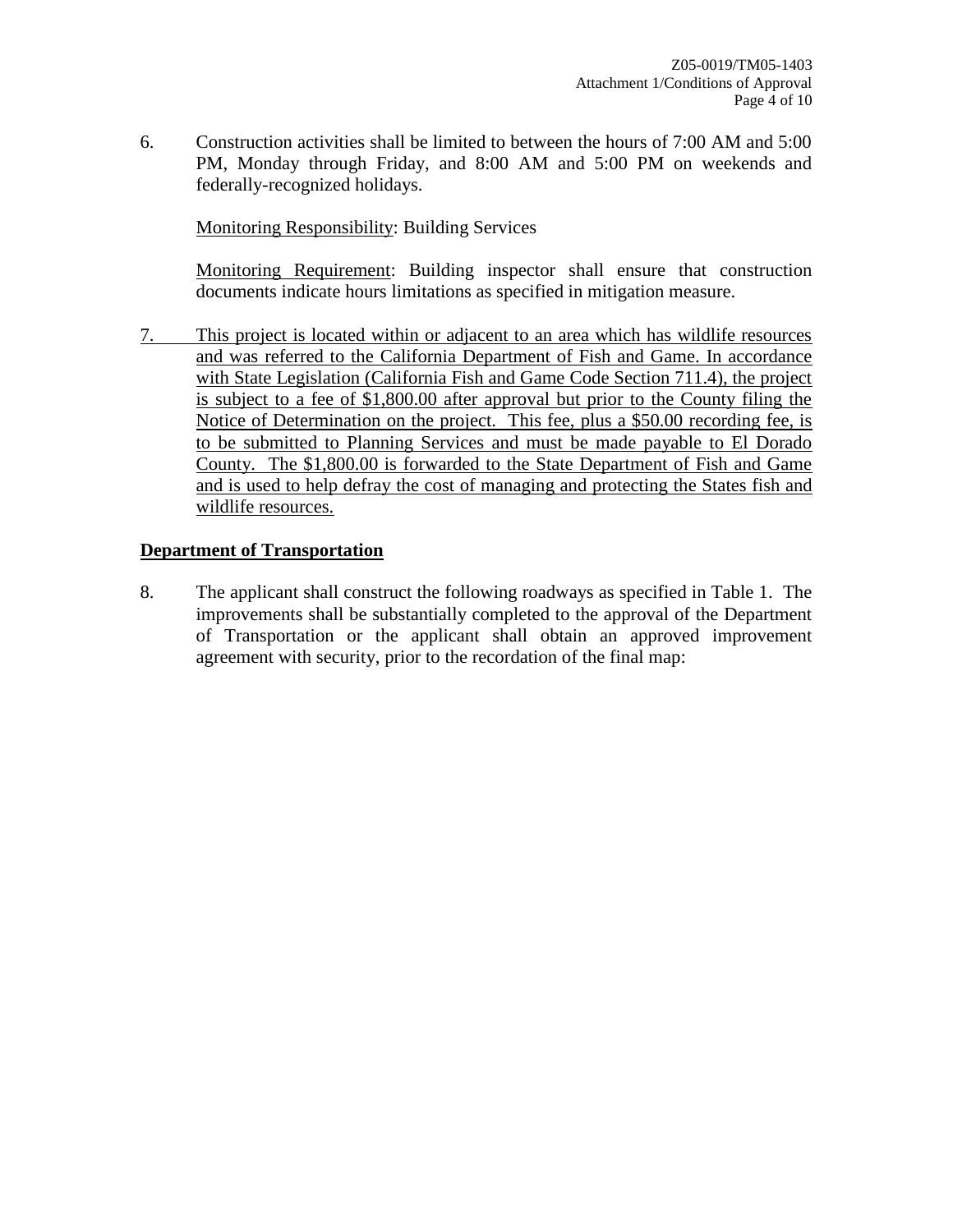6. Construction activities shall be limited to between the hours of 7:00 AM and 5:00 PM, Monday through Friday, and 8:00 AM and 5:00 PM on weekends and federally-recognized holidays.

Monitoring Responsibility: Building Services

Monitoring Requirement: Building inspector shall ensure that construction documents indicate hours limitations as specified in mitigation measure.

7. This project is located within or adjacent to an area which has wildlife resources and was referred to the California Department of Fish and Game. In accordance with State Legislation (California Fish and Game Code Section 711.4), the project is subject to a fee of \$1,800.00 after approval but prior to the County filing the Notice of Determination on the project. This fee, plus a \$50.00 recording fee, is to be submitted to Planning Services and must be made payable to El Dorado County. The \$1,800.00 is forwarded to the State Department of Fish and Game and is used to help defray the cost of managing and protecting the States fish and wildlife resources.

#### **Department of Transportation**

8. The applicant shall construct the following roadways as specified in Table 1. The improvements shall be substantially completed to the approval of the Department of Transportation or the applicant shall obtain an approved improvement agreement with security, prior to the recordation of the final map: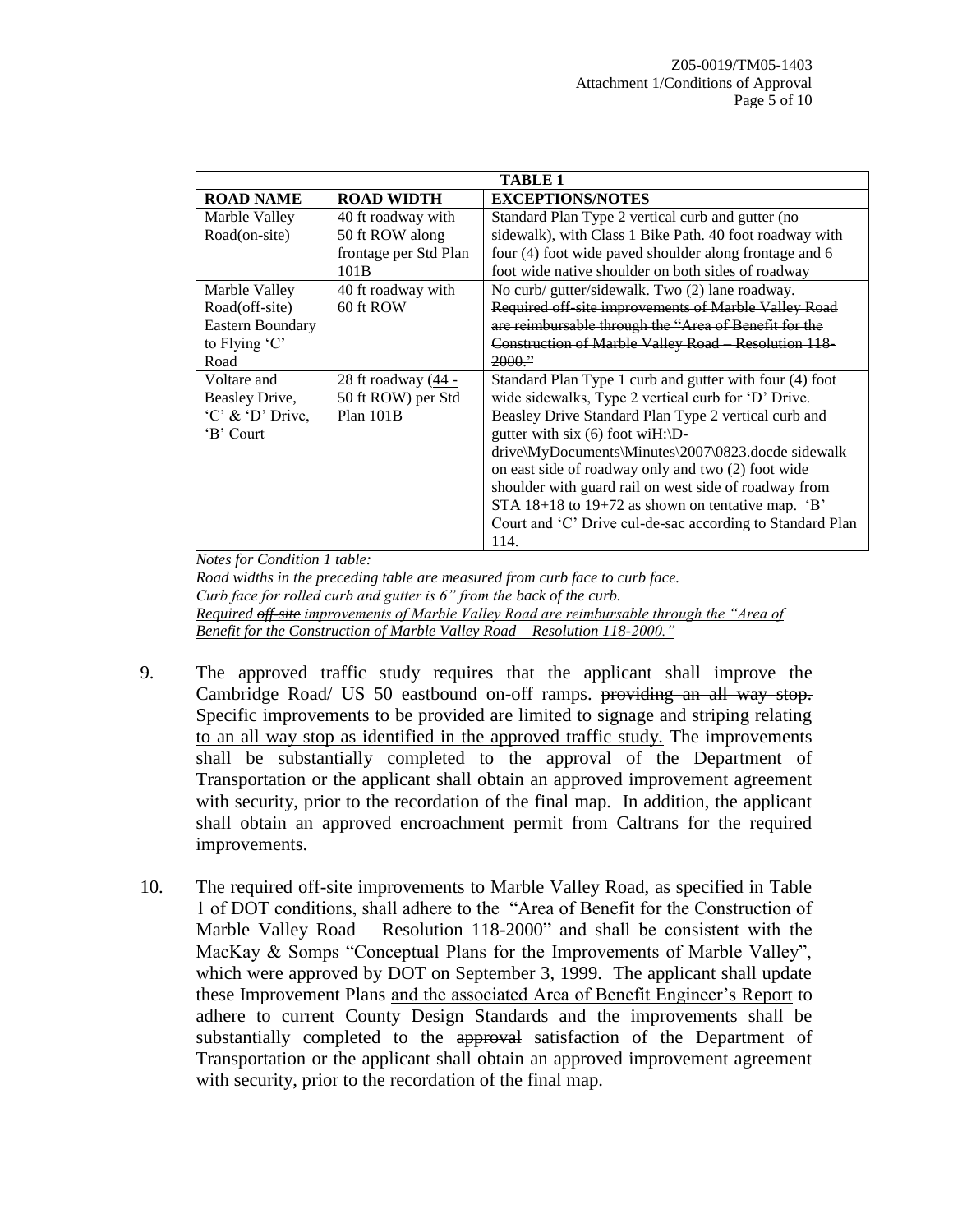| <b>TABLE 1</b>     |                       |                                                           |
|--------------------|-----------------------|-----------------------------------------------------------|
| <b>ROAD NAME</b>   | <b>ROAD WIDTH</b>     | <b>EXCEPTIONS/NOTES</b>                                   |
| Marble Valley      | 40 ft roadway with    | Standard Plan Type 2 vertical curb and gutter (no         |
| Road(on-site)      | 50 ft ROW along       | sidewalk), with Class 1 Bike Path. 40 foot roadway with   |
|                    | frontage per Std Plan | four (4) foot wide paved shoulder along frontage and 6    |
|                    | 101B                  | foot wide native shoulder on both sides of roadway        |
| Marble Valley      | 40 ft roadway with    | No curb/ gutter/sidewalk. Two (2) lane roadway.           |
| Road(off-site)     | 60 ft ROW             | Required off site improvements of Marble Valley Road      |
| Eastern Boundary   |                       | are reimbursable through the "Area of Benefit for the     |
| to Flying $C'$     |                       | Construction of Marble Valley Road Resolution 118         |
| Road               |                       | $2000$ ."                                                 |
| Voltare and        | 28 ft roadway (44 -   | Standard Plan Type 1 curb and gutter with four (4) foot   |
| Beasley Drive,     | 50 ft ROW) per Std    | wide sidewalks, Type 2 vertical curb for 'D' Drive.       |
| $'C'$ & 'D' Drive, | $Plan$ 101 $B$        | Beasley Drive Standard Plan Type 2 vertical curb and      |
| 'B' Court          |                       | gutter with six (6) foot wiH: $\D$ -                      |
|                    |                       | drive\MyDocuments\Minutes\2007\0823.docde sidewalk        |
|                    |                       | on east side of roadway only and two (2) foot wide        |
|                    |                       | shoulder with guard rail on west side of roadway from     |
|                    |                       | STA $18+18$ to $19+72$ as shown on tentative map. 'B'     |
|                    |                       | Court and 'C' Drive cul-de-sac according to Standard Plan |
|                    |                       | 114.                                                      |

*Notes for Condition 1 table:*

*Road widths in the preceding table are measured from curb face to curb face. Curb face for rolled curb and gutter is 6" from the back of the curb. Required off-site improvements of Marble Valley Road are reimbursable through the "Area of Benefit for the Construction of Marble Valley Road – Resolution 118-2000."*

- 9. The approved traffic study requires that the applicant shall improve the Cambridge Road/ US 50 eastbound on-off ramps. providing an all way stop. Specific improvements to be provided are limited to signage and striping relating to an all way stop as identified in the approved traffic study. The improvements shall be substantially completed to the approval of the Department of Transportation or the applicant shall obtain an approved improvement agreement with security, prior to the recordation of the final map. In addition, the applicant shall obtain an approved encroachment permit from Caltrans for the required improvements.
- 10. The required off-site improvements to Marble Valley Road, as specified in Table 1 of DOT conditions, shall adhere to the "Area of Benefit for the Construction of Marble Valley Road – Resolution 118-2000" and shall be consistent with the MacKay & Somps "Conceptual Plans for the Improvements of Marble Valley", which were approved by DOT on September 3, 1999. The applicant shall update these Improvement Plans and the associated Area of Benefit Engineer's Report to adhere to current County Design Standards and the improvements shall be substantially completed to the approval satisfaction of the Department of Transportation or the applicant shall obtain an approved improvement agreement with security, prior to the recordation of the final map.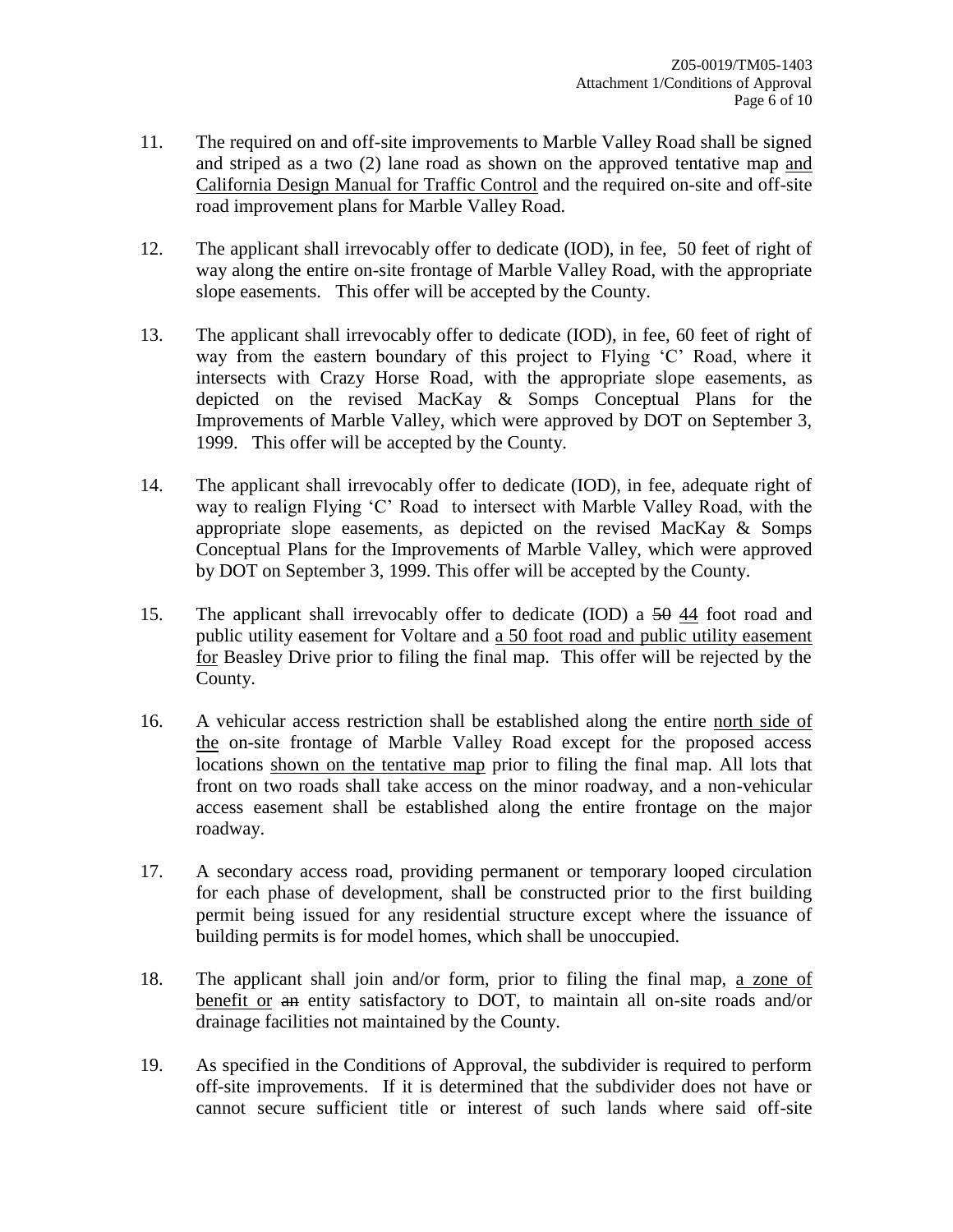- 11. The required on and off-site improvements to Marble Valley Road shall be signed and striped as a two (2) lane road as shown on the approved tentative map and California Design Manual for Traffic Control and the required on-site and off-site road improvement plans for Marble Valley Road.
- 12. The applicant shall irrevocably offer to dedicate (IOD), in fee, 50 feet of right of way along the entire on-site frontage of Marble Valley Road, with the appropriate slope easements. This offer will be accepted by the County.
- 13. The applicant shall irrevocably offer to dedicate (IOD), in fee, 60 feet of right of way from the eastern boundary of this project to Flying 'C' Road, where it intersects with Crazy Horse Road, with the appropriate slope easements, as depicted on the revised MacKay & Somps Conceptual Plans for the Improvements of Marble Valley, which were approved by DOT on September 3, 1999. This offer will be accepted by the County.
- 14. The applicant shall irrevocably offer to dedicate (IOD), in fee, adequate right of way to realign Flying 'C' Road to intersect with Marble Valley Road, with the appropriate slope easements, as depicted on the revised MacKay  $\&$  Somps Conceptual Plans for the Improvements of Marble Valley, which were approved by DOT on September 3, 1999. This offer will be accepted by the County.
- 15. The applicant shall irrevocably offer to dedicate (IOD) a 50 44 foot road and public utility easement for Voltare and a 50 foot road and public utility easement for Beasley Drive prior to filing the final map. This offer will be rejected by the County.
- 16. A vehicular access restriction shall be established along the entire north side of the on-site frontage of Marble Valley Road except for the proposed access locations shown on the tentative map prior to filing the final map. All lots that front on two roads shall take access on the minor roadway, and a non-vehicular access easement shall be established along the entire frontage on the major roadway.
- 17. A secondary access road, providing permanent or temporary looped circulation for each phase of development, shall be constructed prior to the first building permit being issued for any residential structure except where the issuance of building permits is for model homes, which shall be unoccupied.
- 18. The applicant shall join and/or form, prior to filing the final map, a zone of benefit or an entity satisfactory to DOT, to maintain all on-site roads and/or drainage facilities not maintained by the County.
- 19. As specified in the Conditions of Approval, the subdivider is required to perform off-site improvements. If it is determined that the subdivider does not have or cannot secure sufficient title or interest of such lands where said off-site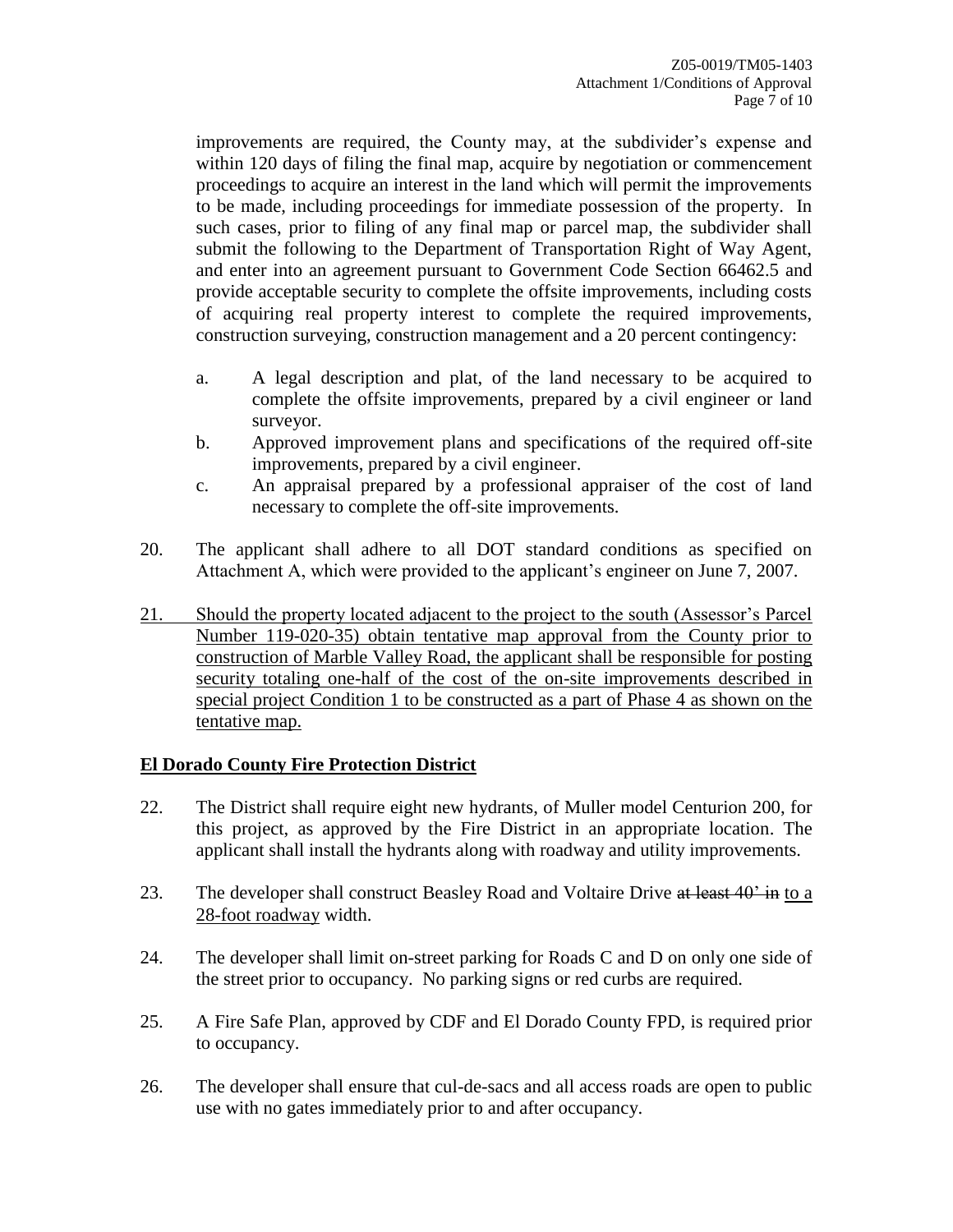improvements are required, the County may, at the subdivider's expense and within 120 days of filing the final map, acquire by negotiation or commencement proceedings to acquire an interest in the land which will permit the improvements to be made, including proceedings for immediate possession of the property. In such cases, prior to filing of any final map or parcel map, the subdivider shall submit the following to the Department of Transportation Right of Way Agent, and enter into an agreement pursuant to Government Code Section 66462.5 and provide acceptable security to complete the offsite improvements, including costs of acquiring real property interest to complete the required improvements, construction surveying, construction management and a 20 percent contingency:

- a. A legal description and plat, of the land necessary to be acquired to complete the offsite improvements, prepared by a civil engineer or land surveyor.
- b. Approved improvement plans and specifications of the required off-site improvements, prepared by a civil engineer.
- c. An appraisal prepared by a professional appraiser of the cost of land necessary to complete the off-site improvements.
- 20. The applicant shall adhere to all DOT standard conditions as specified on Attachment A, which were provided to the applicant's engineer on June 7, 2007.
- 21. Should the property located adjacent to the project to the south (Assessor's Parcel Number 119-020-35) obtain tentative map approval from the County prior to construction of Marble Valley Road, the applicant shall be responsible for posting security totaling one-half of the cost of the on-site improvements described in special project Condition 1 to be constructed as a part of Phase 4 as shown on the tentative map.

## **El Dorado County Fire Protection District**

- 22. The District shall require eight new hydrants, of Muller model Centurion 200, for this project, as approved by the Fire District in an appropriate location. The applicant shall install the hydrants along with roadway and utility improvements.
- 23. The developer shall construct Beasley Road and Voltaire Drive at least 40<sup>3</sup> in to a 28-foot roadway width.
- 24. The developer shall limit on-street parking for Roads C and D on only one side of the street prior to occupancy. No parking signs or red curbs are required.
- 25. A Fire Safe Plan, approved by CDF and El Dorado County FPD, is required prior to occupancy.
- 26. The developer shall ensure that cul-de-sacs and all access roads are open to public use with no gates immediately prior to and after occupancy.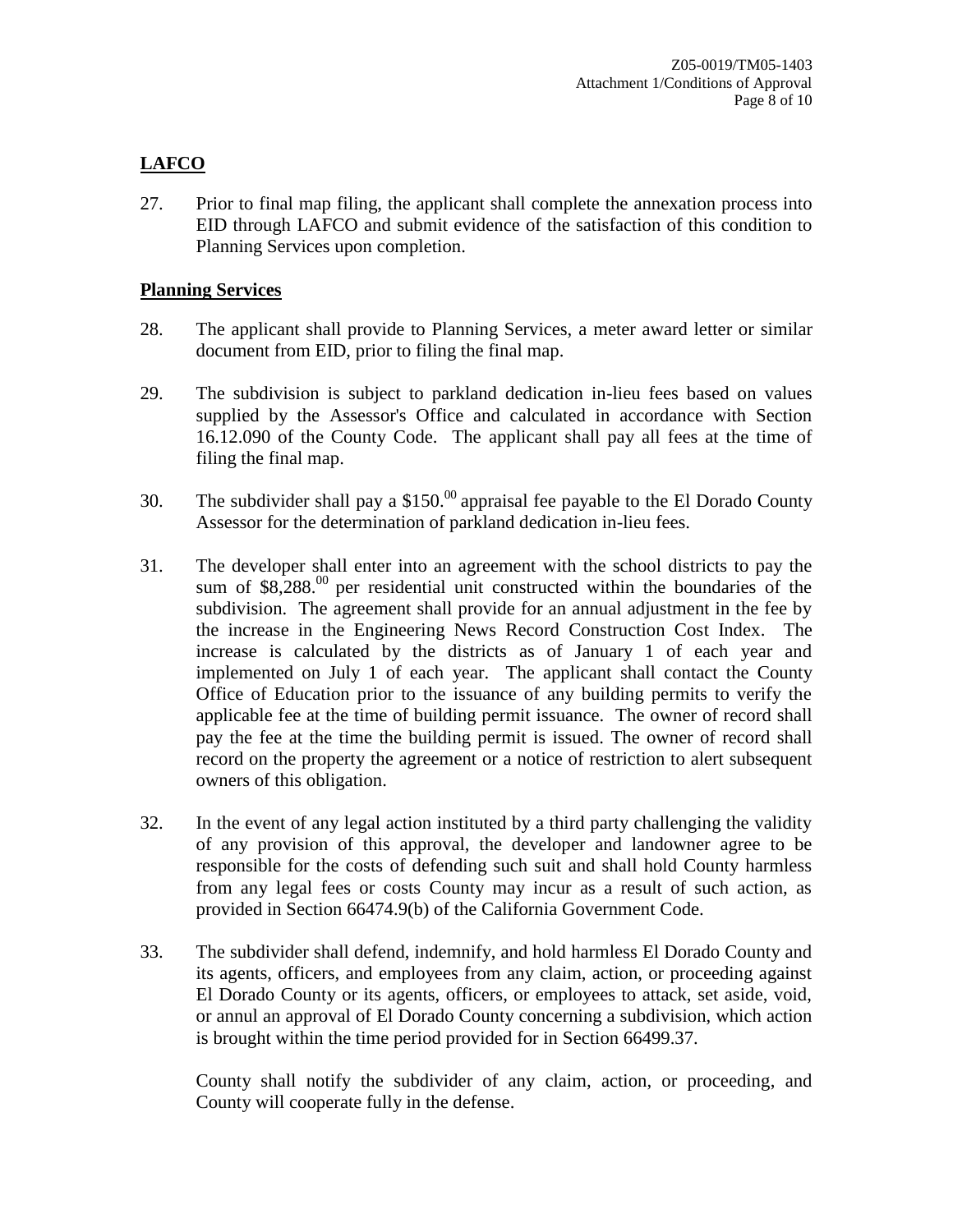# **LAFCO**

27. Prior to final map filing, the applicant shall complete the annexation process into EID through LAFCO and submit evidence of the satisfaction of this condition to Planning Services upon completion.

#### **Planning Services**

- 28. The applicant shall provide to Planning Services, a meter award letter or similar document from EID, prior to filing the final map.
- 29. The subdivision is subject to parkland dedication in-lieu fees based on values supplied by the Assessor's Office and calculated in accordance with Section 16.12.090 of the County Code. The applicant shall pay all fees at the time of filing the final map.
- 30. The subdivider shall pay a \$150.<sup>00</sup> appraisal fee payable to the El Dorado County Assessor for the determination of parkland dedication in-lieu fees.
- 31. The developer shall enter into an agreement with the school districts to pay the sum of  $$8,288<sup>00</sup>$  per residential unit constructed within the boundaries of the subdivision. The agreement shall provide for an annual adjustment in the fee by the increase in the Engineering News Record Construction Cost Index. The increase is calculated by the districts as of January 1 of each year and implemented on July 1 of each year. The applicant shall contact the County Office of Education prior to the issuance of any building permits to verify the applicable fee at the time of building permit issuance. The owner of record shall pay the fee at the time the building permit is issued. The owner of record shall record on the property the agreement or a notice of restriction to alert subsequent owners of this obligation.
- 32. In the event of any legal action instituted by a third party challenging the validity of any provision of this approval, the developer and landowner agree to be responsible for the costs of defending such suit and shall hold County harmless from any legal fees or costs County may incur as a result of such action, as provided in Section 66474.9(b) of the California Government Code.
- 33. The subdivider shall defend, indemnify, and hold harmless El Dorado County and its agents, officers, and employees from any claim, action, or proceeding against El Dorado County or its agents, officers, or employees to attack, set aside, void, or annul an approval of El Dorado County concerning a subdivision, which action is brought within the time period provided for in Section 66499.37.

County shall notify the subdivider of any claim, action, or proceeding, and County will cooperate fully in the defense.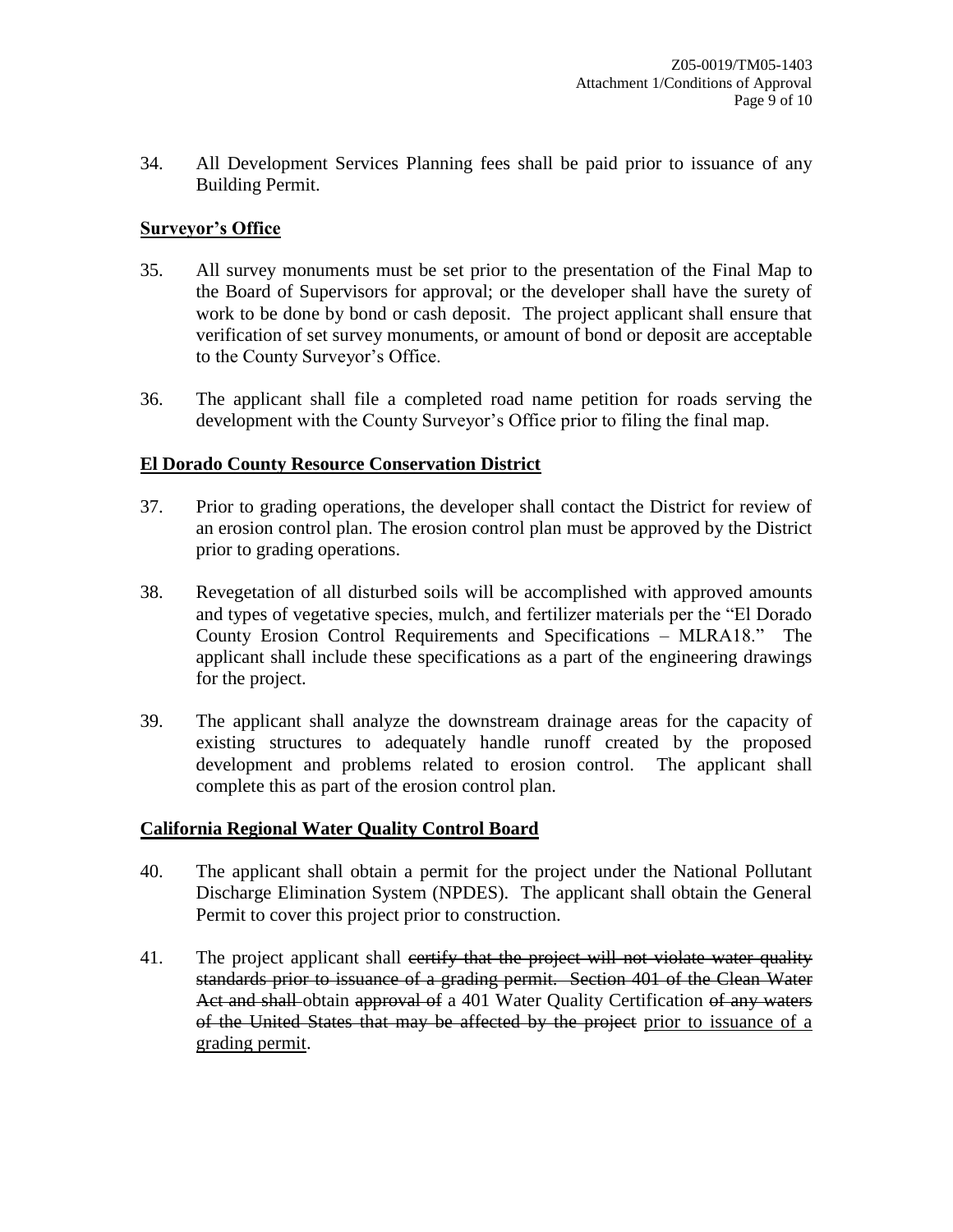34. All Development Services Planning fees shall be paid prior to issuance of any Building Permit.

## **Surveyor's Office**

- 35. All survey monuments must be set prior to the presentation of the Final Map to the Board of Supervisors for approval; or the developer shall have the surety of work to be done by bond or cash deposit. The project applicant shall ensure that verification of set survey monuments, or amount of bond or deposit are acceptable to the County Surveyor's Office.
- 36. The applicant shall file a completed road name petition for roads serving the development with the County Surveyor's Office prior to filing the final map.

#### **El Dorado County Resource Conservation District**

- 37. Prior to grading operations, the developer shall contact the District for review of an erosion control plan. The erosion control plan must be approved by the District prior to grading operations.
- 38. Revegetation of all disturbed soils will be accomplished with approved amounts and types of vegetative species, mulch, and fertilizer materials per the "El Dorado County Erosion Control Requirements and Specifications – MLRA18." The applicant shall include these specifications as a part of the engineering drawings for the project.
- 39. The applicant shall analyze the downstream drainage areas for the capacity of existing structures to adequately handle runoff created by the proposed development and problems related to erosion control. The applicant shall complete this as part of the erosion control plan.

#### **California Regional Water Quality Control Board**

- 40. The applicant shall obtain a permit for the project under the National Pollutant Discharge Elimination System (NPDES). The applicant shall obtain the General Permit to cover this project prior to construction.
- 41. The project applicant shall eertify that the project will not violate water quality standards prior to issuance of a grading permit. Section 401 of the Clean Water Act and shall-obtain approval of a 401 Water Quality Certification of any waters of the United States that may be affected by the project prior to issuance of a grading permit.